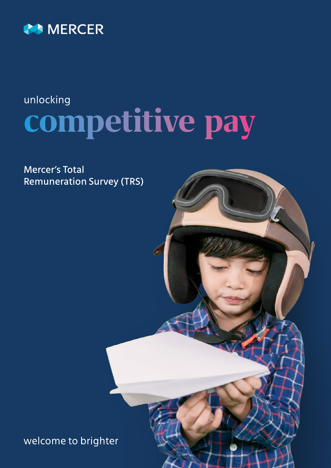

## **competitive pay** unlocking

Mercer's Total Remuneration Survey (TRS)

welcome to brighter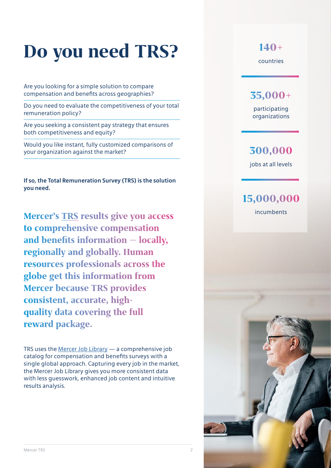## **Do you need TRS?**

Are you looking for a simple solution to compare compensation and benefits across geographies?

Do you need to evaluate the competitiveness of your total remuneration policy?

Are you seeking a consistent pay strategy that ensures both competitiveness and equity?

Would you like instant, fully customized comparisons of your organization against the market?

**If so, the Total Remuneration Survey (TRS) is the solution you need.**

**Mercer's [TRS](https://www.imercer.com/ecommerce/eu/products/total-remuneration-surveys) results give you access to comprehensive compensation and benefits information — locally, regionally and globally. Human resources professionals across the globe get this information from Mercer because TRS provides consistent, accurate, highquality data covering the full reward package.**

TRS uses the [Mercer Job Library](https://www.imercer.com/content/mercer-job-library.aspx) — a comprehensive job catalog for compensation and benefits surveys with a single global approach. Capturing every job in the market, the Mercer Job Library gives you more consistent data with less guesswork, enhanced job content and intuitive results analysis.

countries **140+**

### **35,000+**

participating organizations

### **300,000**

jobs at all levels

### incumbents **15,000,000**

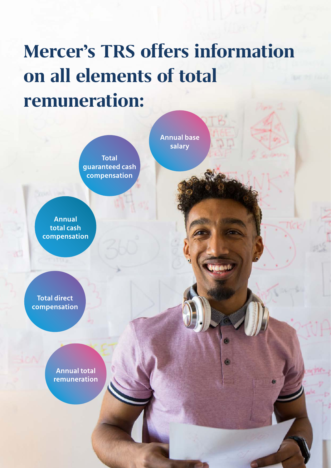## **Mercer's TRS offers information on all elements of total remuneration:**

**Total guaranteed cash compensation**

**Annual total cash compensation**

**Total direct compensation**

> **Annual total remuneration**

**Annual base salary**

Mercer TRS 300 Mercer TRS 300 Mercer TRS 300 Mercer TRS 300 Mercer TRS 300 Mercer TRS 300 Mercer TRS 300 Merce

Ò.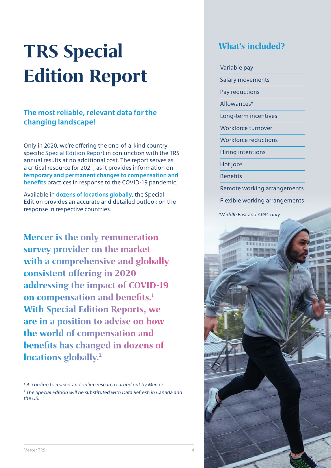# **TRS Special Edition Report**

#### **The most reliable, relevant data for the changing landscape!**

Only in 2020, we're offering the one-of-a-kind countryspecific [Special Edition Report](https://www.imercer.com/imercercontent/2020-special-edition) in conjunction with the TRS annual results at no additional cost. The report serves as a critical resource for 2021, as it provides information on **temporary and permanent changes to compensation and benefits** practices in response to the COVID-19 pandemic.

Available in **dozens of locations globally**, the Special Edition provides an accurate and detailed outlook on the response in respective countries.

**Mercer is the only remuneration survey provider on the market with a comprehensive and globally consistent offering in 2020 addressing the impact of COVID-19 on compensation and benefits.1 With Special Edition Reports, we are in a position to advise on how the world of compensation and benefits has changed in dozens of locations globally.2**

*1 According to market and online research carried out by Mercer.* <sup>2</sup> The Special Edition will be substituted with Data Refresh in Canada and *the US.*

### **What's included?**

### Variable pay Salary movements Pay reductions Allowances\* Long-term incentives Workforce turnover Workforce reductions Hiring intentions Hot jobs **Benefits** Remote working arrangements

Flexible working arrangements

*\*Middle East and APAC only.*

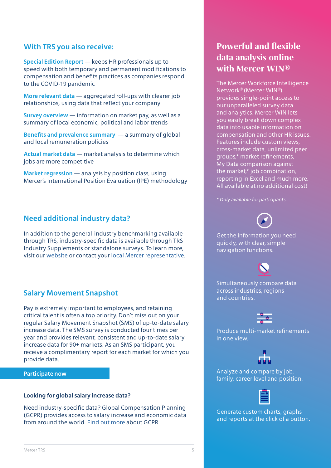#### **With TRS you also receive:**

**Special Edition Report** — keeps HR professionals up to speed with both temporary and permanent modifications to compensation and benefits practices as companies respond to the COVID-19 pandemic

**More relevant data** — aggregated roll-ups with clearer job relationships, using data that reflect your company

**Survey overview** — information on market pay, as well as a summary of local economic, political and labor trends

**Benefits and prevalence summary** — a summary of global and local remuneration policies

**Actual market data** — market analysis to determine which jobs are more competitive

**Market regression** — analysis by position class, using Mercer's International Position Evaluation (IPE) methodology

#### **Need additional industry data?**

In addition to the general-industry benchmarking available through TRS, industry-specific data is available through TRS Industry Supplements or standalone surveys. To learn more, visit our [website](https://www.imercer.com/content/industry-supplements.aspx) or contact your [local Mercer representative](https://www.imercer.com/content/TRScontacts.aspx).

#### **Salary Movement Snapshot**

Pay is extremely important to employees, and retaining critical talent is often a top priority. Don't miss out on your regular Salary Movement Snapshot (SMS) of up-to-date salary increase data. The SMS survey is conducted four times per year and provides relevant, consistent and up-to-date salary increase data for 90+ markets. As an SMS participant, you receive a complimentary report for each market for which you provide data.

#### **[Participate now](https://taap.mercer.com/help/participation-center)**

#### **Looking for global salary increase data?**

Need industry-specific data? Global Compensation Planning (GCPR) provides access to salary increase and economic data from around the world. [Find out more](https://www.imercer.com/ecommerce/eu/products/Global-Compensation-Planning-Report) about GCPR.

### **Powerful and flexible data analysis online with Mercer WIN®**

The Mercer Workforce Intelligence Network® [\(Mercer WIN®](https://www.imercer.com/win)) provides single-point access to our unparalleled survey data and analytics. Mercer WIN lets you easily break down complex data into usable information on compensation and other HR issues. Features include custom views, cross-market data, unlimited peer groups,\* market refinements, My Data comparison against the market,\* job combination, reporting in Excel and much more. All available at no additional cost!

*\* Only available for participants.*



Get the information you need quickly, with clear, simple navigation functions.

Simultaneously compare data across industries, regions and countries.



Produce multi-market refinements in one view.



Analyze and compare by job, family, career level and position.



Generate custom charts, graphs and reports at the click of a button.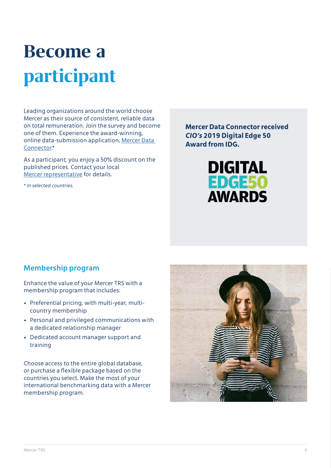## **Become a participant**

Leading organizations around the world choose Mercer as their source of consistent, reliable data on total remuneration. Join the survey and become one of them. Experience the award-winning, online data-submission application, [Mercer Data](https://www.imercer.com/uploads/common/HTML/LandingPages/mercer-data-connector/mercer-data-connector.html)  [Connector](https://www.imercer.com/uploads/common/HTML/LandingPages/mercer-data-connector/mercer-data-connector.html).\*

As a participant, you enjoy a 50% discount on the published prices. Contact your local [Mercer representative](https://www.imercer.com/content/TRScontacts.aspx) for details.

*\* In selected countries.* 

**Mercer Data Connector received**  *CIO's* **2019 Digital Edge 50 Award from IDG.**



#### **Membership program**

Enhance the value of your Mercer TRS with a membership program that includes:

- Preferential pricing, with multi-year, multicountry membership
- Personal and privileged communications with a dedicated relationship manager
- Dedicated account manager support and training

Choose access to the entire global database, or purchase a flexible package based on the countries you select. Make the most of your international benchmarking data with a Mercer membership program.

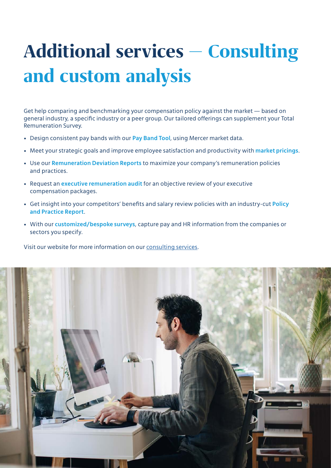## **Additional services — Consulting and custom analysis**

Get help comparing and benchmarking your compensation policy against the market — based on general industry, a specific industry or a peer group. Our tailored offerings can supplement your Total Remuneration Survey.

- Design consistent pay bands with our **Pay Band Tool**, using Mercer market data.
- Meet your strategic goals and improve employee satisfaction and productivity with **market pricings**.
- Use our **Remuneration Deviation Reports** to maximize your company's remuneration policies and practices.
- Request an **executive remuneration audit** for an objective review of your executive compensation packages.
- Get insight into your competitors' benefits and salary review policies with an industry-cut **Policy and Practice Report**.
- With our **customized/bespoke surveys**, capture pay and HR information from the companies or sectors you specify.

Visit our website for more information on our [consulting services](https://www.imercer.com/content/mercer-information-consulting-services.aspx).

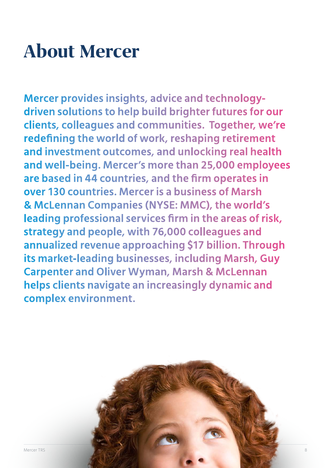## **About Mercer**

**Mercer provides insights, advice and technologydriven solutions to help build brighter futures for our clients, colleagues and communities. Together, we're redefining the world of work, reshaping retirement and investment outcomes, and unlocking real health and well-being. Mercer's more than 25,000 employees are based in 44 countries, and the firm operates in over 130 countries. Mercer is a business of Marsh & McLennan Companies (NYSE: MMC), the world's leading professional services firm in the areas of risk, strategy and people, with 76,000 colleagues and annualized revenue approaching \$17 billion. Through its market-leading businesses, including Marsh, Guy Carpenter and Oliver Wyman, Marsh & McLennan helps clients navigate an increasingly dynamic and complex environment.**